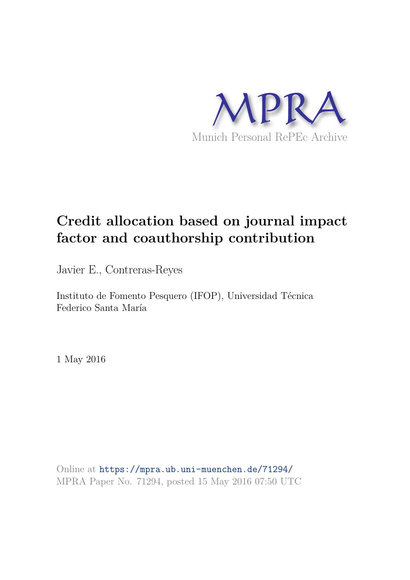

# **Credit allocation based on journal impact factor and coauthorship contribution**

Javier E., Contreras-Reyes

Instituto de Fomento Pesquero (IFOP), Universidad Técnica Federico Santa María

1 May 2016

Online at https://mpra.ub.uni-muenchen.de/71294/ MPRA Paper No. 71294, posted 15 May 2016 07:50 UTC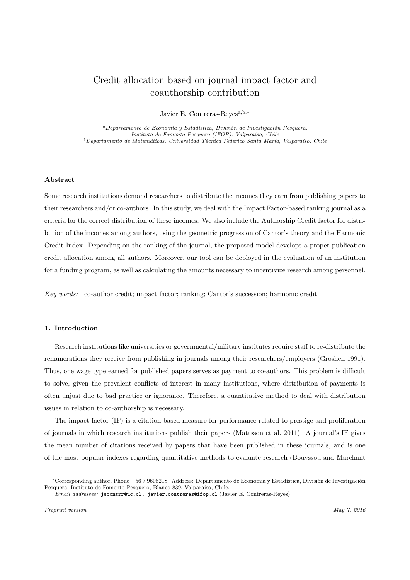# Credit allocation based on journal impact factor and coauthorship contribution

Javier E. Contreras-Reyesa,b,<sup>∗</sup>

 $a<sup>a</sup> Departmento de Economía y Estadística, Division de Investigación Pesquera,$ Instituto de Fomento Pesquero (IFOP), Valparaíso, Chile  $b$ Departamento de Matemáticas, Universidad Técnica Federico Santa María, Valparaíso, Chile

#### Abstract

Some research institutions demand researchers to distribute the incomes they earn from publishing papers to their researchers and/or co-authors. In this study, we deal with the Impact Factor-based ranking journal as a criteria for the correct distribution of these incomes. We also include the Authorship Credit factor for distribution of the incomes among authors, using the geometric progression of Cantor's theory and the Harmonic Credit Index. Depending on the ranking of the journal, the proposed model develops a proper publication credit allocation among all authors. Moreover, our tool can be deployed in the evaluation of an institution for a funding program, as well as calculating the amounts necessary to incentivize research among personnel.

Key words: co-author credit; impact factor; ranking; Cantor's succession; harmonic credit

## 1. Introduction

Research institutions like universities or governmental/military institutes require staff to re-distribute the remunerations they receive from publishing in journals among their researchers/employers (Groshen 1991). Thus, one wage type earned for published papers serves as payment to co-authors. This problem is difficult to solve, given the prevalent conflicts of interest in many institutions, where distribution of payments is often unjust due to bad practice or ignorance. Therefore, a quantitative method to deal with distribution issues in relation to co-authorship is necessary.

The impact factor (IF) is a citation-based measure for performance related to prestige and proliferation of journals in which research institutions publish their papers (Mattsson et al. 2011). A journal's IF gives the mean number of citations received by papers that have been published in these journals, and is one of the most popular indexes regarding quantitative methods to evaluate research (Bouyssou and Marchant

<sup>\*</sup>Corresponding author, Phone +56 7 9608218. Address: Departamento de Economía y Estadística, División de Investigación Pesquera, Instituto de Fomento Pesquero, Blanco 839, Valparaíso, Chile.

Email addresses: jecontrr@uc.cl, javier.contreras@ifop.cl (Javier E. Contreras-Reyes)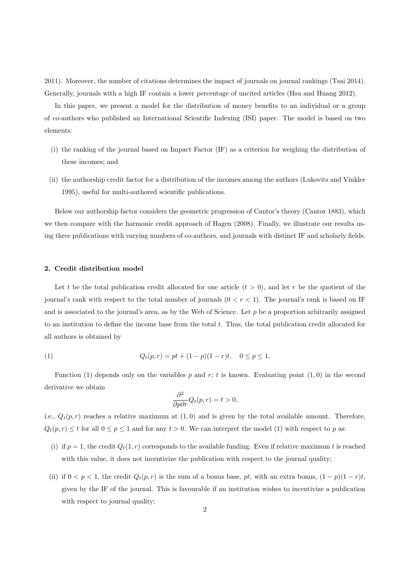2011). Moreover, the number of citations determines the impact of journals on journal rankings (Tsai 2014). Generally, journals with a high IF contain a lower percentage of uncited articles (Hsu and Huang 2012).

In this paper, we present a model for the distribution of money benefits to an individual or a group of co-authors who published an International Scientific Indexing (ISI) paper. The model is based on two elements:

- (i) the ranking of the journal based on Impact Factor (IF) as a criterion for weighing the distribution of these incomes; and
- (ii) the authorship credit factor for a distribution of the incomes among the authors (Lukovits and Vinkler 1995), useful for multi-authored scientific publications.

Below our authorship factor considers the geometric progression of Cantor's theory (Cantor 1883), which we then compare with the harmonic credit approach of Hagen (2008). Finally, we illustrate our results using three publications with varying numbers of co-authors, and journals with distinct IF and scholarly fields.

### 2. Credit distribution model

Let t be the total publication credit allocated for one article  $(t > 0)$ , and let r be the quotient of the journal's rank with respect to the total number of journals  $(0 < r < 1)$ . The journal's rank is based on IF and is associated to the journal's area, as by the Web of Science. Let  $p$  be a proportion arbitrarily assigned to an institution to define the income base from the total  $t$ . Thus, the total publication credit allocated for all authors is obtained by

(1) 
$$
Q_t(p,r) = pt + (1-p)(1-r)t, \quad 0 \le p \le 1,
$$

Function (1) depends only on the variables p and r; t is known. Evaluating point  $(1,0)$  in the second derivative we obtain

$$
\frac{\partial^2}{\partial p \partial r} Q_t(p, r) = t > 0,
$$

i.e.,  $Q_t(p,r)$  reaches a relative maximum at  $(1,0)$  and is given by the total available amount. Therefore,  $Q_t(p,r) \leq t$  for all  $0 \leq p \leq 1$  and for any  $t > 0$ . We can interpret the model (1) with respect to p as:

- (i) if  $p = 1$ , the credit  $Q_t(1, r)$  corresponds to the available funding. Even if relative maximum t is reached with this value, it does not incentivize the publication with respect to the journal quality;
- (ii) if  $0 < p < 1$ , the credit  $Q_t(p,r)$  is the sum of a bonus base, pt, with an extra bonus,  $(1-p)(1-r)t$ , given by the IF of the journal. This is favourable if an institution wishes to incentivize a publication with respect to journal quality;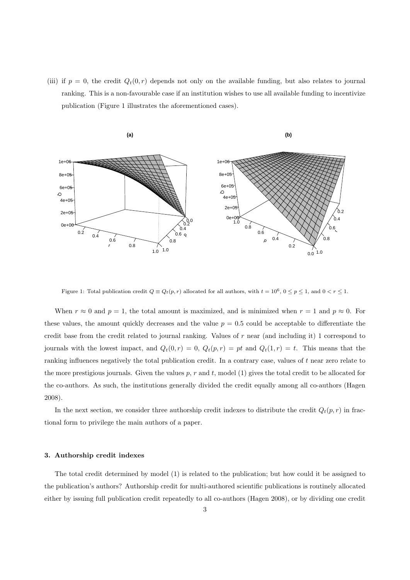(iii) if  $p = 0$ , the credit  $Q_t(0, r)$  depends not only on the available funding, but also relates to journal ranking. This is a non-favourable case if an institution wishes to use all available funding to incentivize publication (Figure 1 illustrates the aforementioned cases).



Figure 1: Total publication credit  $Q \equiv Q_t(p,r)$  allocated for all authors, with  $t = 10^6$ ,  $0 \le p \le 1$ , and  $0 < r \le 1$ .

When  $r \approx 0$  and  $p = 1$ , the total amount is maximized, and is minimized when  $r = 1$  and  $p \approx 0$ . For these values, the amount quickly decreases and the value  $p = 0.5$  could be acceptable to differentiate the credit base from the credit related to journal ranking. Values of r near (and including it) 1 correspond to journals with the lowest impact, and  $Q_t(0,r) = 0$ ,  $Q_t(p,r) = pt$  and  $Q_t(1,r) = t$ . This means that the ranking influences negatively the total publication credit. In a contrary case, values of t near zero relate to the more prestigious journals. Given the values  $p, r$  and  $t$ , model (1) gives the total credit to be allocated for the co-authors. As such, the institutions generally divided the credit equally among all co-authors (Hagen 2008).

In the next section, we consider three authorship credit indexes to distribute the credit  $Q_t(p,r)$  in fractional form to privilege the main authors of a paper.

#### 3. Authorship credit indexes

The total credit determined by model (1) is related to the publication; but how could it be assigned to the publication's authors? Authorship credit for multi-authored scientific publications is routinely allocated either by issuing full publication credit repeatedly to all co-authors (Hagen 2008), or by dividing one credit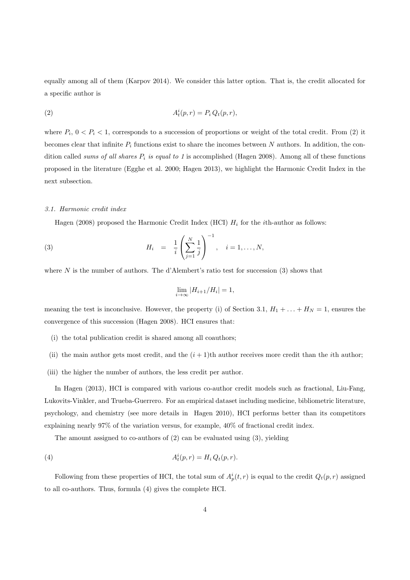equally among all of them (Karpov 2014). We consider this latter option. That is, the credit allocated for a specific author is

$$
(2) \qquad \qquad A_t^i(p,r) = P_i Q_t(p,r),
$$

where  $P_i$ ,  $0 < P_i < 1$ , corresponds to a succession of proportions or weight of the total credit. From (2) it becomes clear that infinite  $P_i$  functions exist to share the incomes between N authors. In addition, the condition called sums of all shares  $P_i$  is equal to 1 is accomplished (Hagen 2008). Among all of these functions proposed in the literature (Egghe et al. 2000; Hagen 2013), we highlight the Harmonic Credit Index in the next subsection.

#### 3.1. Harmonic credit index

Hagen (2008) proposed the Harmonic Credit Index (HCI)  $H_i$  for the *i*th-author as follows:

(3) 
$$
H_i = \frac{1}{i} \left( \sum_{j=1}^N \frac{1}{j} \right)^{-1}, \quad i = 1, ..., N,
$$

where  $N$  is the number of authors. The d'Alembert's ratio test for succession (3) shows that

$$
\lim_{i \to \infty} |H_{i+1}/H_i| = 1,
$$

meaning the test is inconclusive. However, the property (i) of Section 3.1,  $H_1 + ... + H_N = 1$ , ensures the convergence of this succession (Hagen 2008). HCI ensures that:

- (i) the total publication credit is shared among all coauthors;
- (ii) the main author gets most credit, and the  $(i + 1)$ th author receives more credit than the *i*th author;
- (iii) the higher the number of authors, the less credit per author.

In Hagen (2013), HCI is compared with various co-author credit models such as fractional, Liu-Fang, Lukovits-Vinkler, and Trueba-Guerrero. For an empirical dataset including medicine, bibliometric literature, psychology, and chemistry (see more details in Hagen 2010), HCI performs better than its competitors explaining nearly 97% of the variation versus, for example, 40% of fractional credit index.

The amount assigned to co-authors of (2) can be evaluated using (3), yielding

$$
(4) \qquad A_t^i(p,r) = H_i Q_t(p,r).
$$

Following from these properties of HCI, the total sum of  $A_p^i(t,r)$  is equal to the credit  $Q_t(p,r)$  assigned to all co-authors. Thus, formula (4) gives the complete HCI.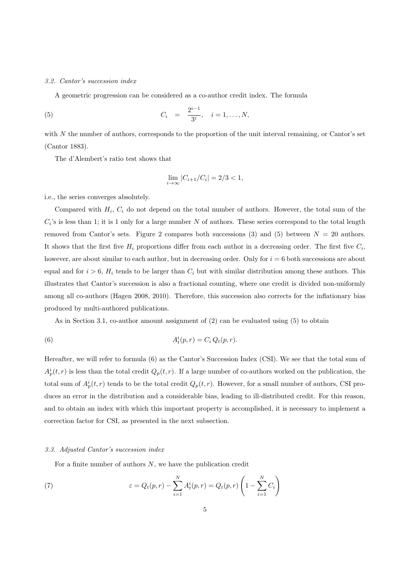#### 3.2. Cantor's succession index

A geometric progression can be considered as a co-author credit index. The formula

(5) 
$$
C_i = \frac{2^{i-1}}{3^i}, \quad i = 1, ..., N,
$$

with  $N$  the number of authors, corresponds to the proportion of the unit interval remaining, or Cantor's set (Cantor 1883).

The d'Alembert's ratio test shows that

$$
\lim_{i \to \infty} |C_{i+1}/C_i| = 2/3 < 1,
$$

i.e., the series converges absolutely.

Compared with  $H_i$ ,  $C_i$  do not depend on the total number of authors. However, the total sum of the  $C_i$ 's is less than 1; it is 1 only for a large number N of authors. These series correspond to the total length removed from Cantor's sets. Figure 2 compares both successions (3) and (5) between  $N = 20$  authors. It shows that the first five  $H_i$  proportions differ from each author in a decreasing order. The first five  $C_i$ , however, are about similar to each author, but in decreasing order. Only for  $i = 6$  both successions are about equal and for  $i > 6$ ,  $H_i$  tends to be larger than  $C_i$  but with similar distribution among these authors. This illustrates that Cantor's succession is also a fractional counting, where one credit is divided non-uniformly among all co-authors (Hagen 2008, 2010). Therefore, this succession also corrects for the inflationary bias produced by multi-authored publications.

As in Section 3.1, co-author amount assignment of (2) can be evaluated using (5) to obtain

(6) 
$$
A_t^i(p,r) = C_i Q_t(p,r).
$$

Hereafter, we will refer to formula (6) as the Cantor's Succession Index (CSI). We see that the total sum of  $A_p^i(t,r)$  is less than the total credit  $Q_p(t,r)$ . If a large number of co-authors worked on the publication, the total sum of  $A_p^i(t,r)$  tends to be the total credit  $Q_p(t,r)$ . However, for a small number of authors, CSI produces an error in the distribution and a considerable bias, leading to ill-distributed credit. For this reason, and to obtain an index with which this important property is accomplished, it is necessary to implement a correction factor for CSI, as presented in the next subsection.

#### 3.3. Adjusted Cantor's succession index

For a finite number of authors  $N$ , we have the publication credit

(7) 
$$
\varepsilon = Q_t(p,r) - \sum_{i=1}^N A_t^i(p,r) = Q_t(p,r) \left(1 - \sum_{i=1}^N C_i\right)
$$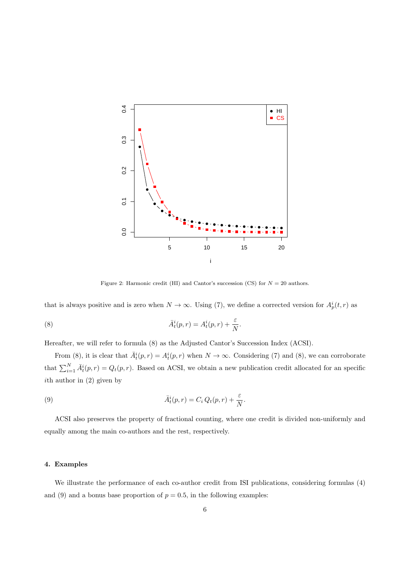

Figure 2: Harmonic credit (HI) and Cantor's succession (CS) for  $N = 20$  authors.

that is always positive and is zero when  $N \to \infty$ . Using (7), we define a corrected version for  $A_p^i(t, r)$  as

(8) 
$$
\bar{A}_t^i(p,r) = A_t^i(p,r) + \frac{\varepsilon}{N}.
$$

Hereafter, we will refer to formula (8) as the Adjusted Cantor's Succession Index (ACSI).

From (8), it is clear that  $\bar{A}_t^i(p,r) = A_t^i(p,r)$  when  $N \to \infty$ . Considering (7) and (8), we can corroborate that  $\sum_{i=1}^{N} \bar{A}_t^i(p,r) = Q_t(p,r)$ . Based on ACSI, we obtain a new publication credit allocated for an specific ith author in (2) given by

(9) 
$$
\bar{A}_t^i(p,r) = C_i Q_t(p,r) + \frac{\varepsilon}{N}.
$$

ACSI also preserves the property of fractional counting, where one credit is divided non-uniformly and equally among the main co-authors and the rest, respectively.

# 4. Examples

We illustrate the performance of each co-author credit from ISI publications, considering formulas (4) and (9) and a bonus base proportion of  $p = 0.5$ , in the following examples: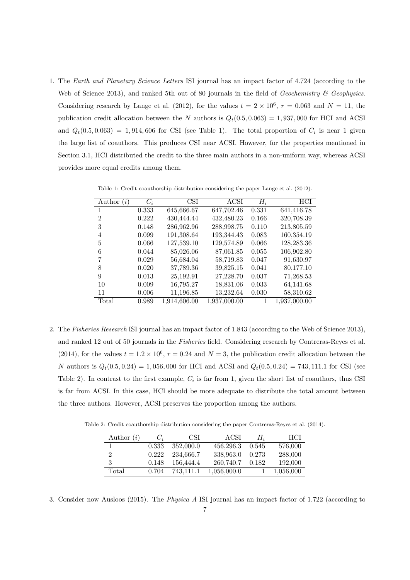1. The Earth and Planetary Science Letters ISI journal has an impact factor of 4.724 (according to the Web of Science 2013), and ranked 5th out of 80 journals in the field of Geochemistry  $\mathscr C$  Geophysics. Considering research by Lange et al. (2012), for the values  $t = 2 \times 10^6$ ,  $r = 0.063$  and  $N = 11$ , the publication credit allocation between the N authors is  $Q_t(0.5, 0.063) = 1,937,000$  for HCI and ACSI and  $Q_t(0.5, 0.063) = 1,914,606$  for CSI (see Table 1). The total proportion of  $C_i$  is near 1 given the large list of coauthors. This produces CSI near ACSI. However, for the properties mentioned in Section 3.1, HCI distributed the credit to the three main authors in a non-uniform way, whereas ACSI provides more equal credits among them.

| Author<br>(i)  | $C_i$ | $\overline{\text{CSI}}$ | ACSI         | $H_i$ | HCI          |
|----------------|-------|-------------------------|--------------|-------|--------------|
| 1              | 0.333 | 645,666.67              | 647,702.46   | 0.331 | 641,416.78   |
| $\overline{2}$ | 0.222 | 430,444.44              | 432,480.23   | 0.166 | 320,708.39   |
| 3              | 0.148 | 286,962.96              | 288,998.75   | 0.110 | 213,805.59   |
| 4              | 0.099 | 191,308.64              | 193,344.43   | 0.083 | 160,354.19   |
| 5              | 0.066 | 127,539.10              | 129,574.89   | 0.066 | 128,283.36   |
| 6              | 0.044 | 85,026.06               | 87,061.85    | 0.055 | 106,902.80   |
| 7              | 0.029 | 56,684.04               | 58,719.83    | 0.047 | 91,630.97    |
| 8              | 0.020 | 37,789.36               | 39,825.15    | 0.041 | 80,177.10    |
| 9              | 0.013 | 25,192.91               | 27,228.70    | 0.037 | 71,268.53    |
| 10             | 0.009 | 16,795.27               | 18,831.06    | 0.033 | 64,141.68    |
| 11             | 0.006 | 11,196.85               | 13,232.64    | 0.030 | 58,310.62    |
| Total          | 0.989 | 1,914,606.00            | 1,937,000.00 | 1     | 1,937,000.00 |

Table 1: Credit coauthorship distribution considering the paper Lange et al. (2012).

2. The Fisheries Research ISI journal has an impact factor of 1.843 (according to the Web of Science 2013), and ranked 12 out of 50 journals in the Fisheries field. Considering research by Contreras-Reyes et al. (2014), for the values  $t = 1.2 \times 10^6$ ,  $r = 0.24$  and  $N = 3$ , the publication credit allocation between the N authors is  $Q_t(0.5, 0.24) = 1,056,000$  for HCI and ACSI and  $Q_t(0.5, 0.24) = 743,111.1$  for CSI (see Table 2). In contrast to the first example,  $C_i$  is far from 1, given the short list of coauthors, thus CSI is far from ACSI. In this case, HCI should be more adequate to distribute the total amount between the three authors. However, ACSI preserves the proportion among the authors.

Table 2: Credit coauthorship distribution considering the paper Contreras-Reyes et al. (2014).

| Author $(i)$ | $C_i$ | <b>CSI</b> | ACSI        | $H_i$ | <b>HCI</b> |
|--------------|-------|------------|-------------|-------|------------|
|              | 0.333 | 352,000.0  | 456.296.3   | 0.545 | 576,000    |
|              | 0.222 | 234.666.7  | 338,963.0   | 0.273 | 288,000    |
| 3            | 0.148 | 156,444.4  | 260.740.7   | 0.182 | 192,000    |
| Total        | 0.704 | 743.111.1  | 1,056,000.0 |       | 1,056,000  |

3. Consider now Ausloos (2015). The Physica A ISI journal has an impact factor of 1.722 (according to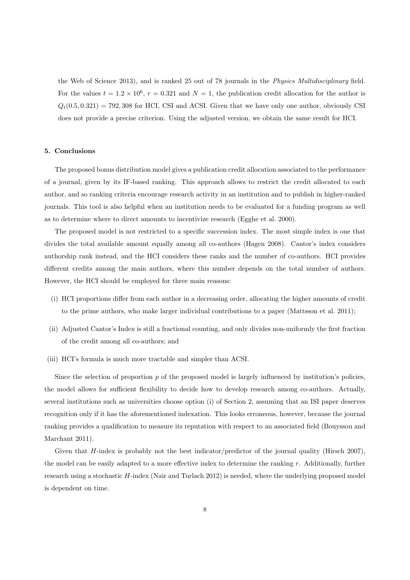the Web of Science 2013), and is ranked 25 out of 78 journals in the Physics Multidisciplinary field. For the values  $t = 1.2 \times 10^6$ ,  $r = 0.321$  and  $N = 1$ , the publication credit allocation for the author is  $Q_t(0.5, 0.321) = 792,308$  for HCI, CSI and ACSI. Given that we have only one author, obviously CSI does not provide a precise criterion. Using the adjusted version, we obtain the same result for HCI.

#### 5. Conclusions

The proposed bonus distribution model gives a publication credit allocation associated to the performance of a journal, given by its IF-based ranking. This approach allows to restrict the credit allocated to each author, and so ranking criteria encourage research activity in an institution and to publish in higher-ranked journals. This tool is also helpful when an institution needs to be evaluated for a funding program as well as to determine where to direct amounts to incentivize research (Egghe et al. 2000).

The proposed model is not restricted to a specific succession index. The most simple index is one that divides the total available amount equally among all co-authors (Hagen 2008). Cantor's index considers authorship rank instead, and the HCI considers these ranks and the number of co-authors. HCI provides different credits among the main authors, where this number depends on the total number of authors. However, the HCI should be employed for three main reasons:

- (i) HCI proportions differ from each author in a decreasing order, allocating the higher amounts of credit to the prime authors, who make larger individual contributions to a paper (Mattsson et al. 2011);
- (ii) Adjusted Cantor's Index is still a fractional counting, and only divides non-uniformly the first fraction of the credit among all co-authors; and
- (iii) HCI's formula is much more tractable and simpler than ACSI.

Since the selection of proportion  $p$  of the proposed model is largely influenced by institution's policies, the model allows for sufficient flexibility to decide how to develop research among co-authors. Actually, several institutions such as universities choose option (i) of Section 2, assuming that an ISI paper deserves recognition only if it has the aforementioned indexation. This looks erroneous, however, because the journal ranking provides a qualification to measure its reputation with respect to an associated field (Bouyssou and Marchant 2011).

Given that H-index is probably not the best indicator/predictor of the journal quality (Hirsch 2007), the model can be easily adapted to a more effective index to determine the ranking  $r$ . Additionally, further research using a stochastic H-index (Nair and Turlach 2012) is needed, where the underlying proposed model is dependent on time.